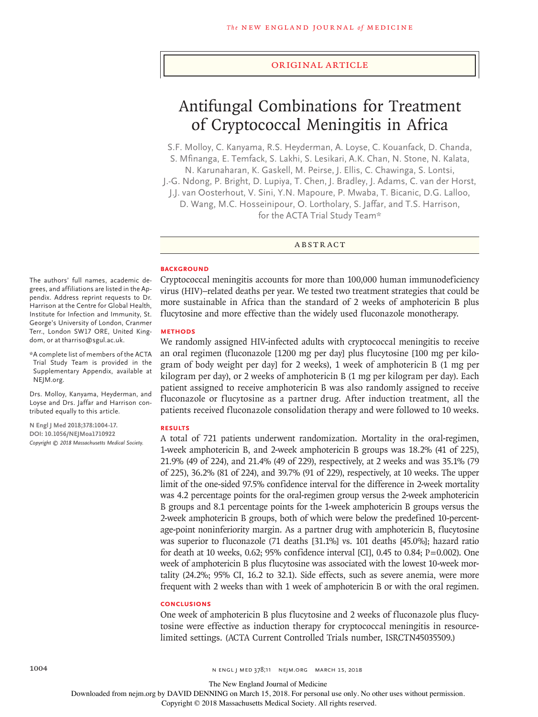## Original Article

# Antifungal Combinations for Treatment of Cryptococcal Meningitis in Africa

S.F. Molloy, C. Kanyama, R.S. Heyderman, A. Loyse, C. Kouanfack, D. Chanda, S. Mfinanga, E. Temfack, S. Lakhi, S. Lesikari, A.K. Chan, N. Stone, N. Kalata,

N. Karunaharan, K. Gaskell, M. Peirse, J. Ellis, C. Chawinga, S. Lontsi, J.-G. Ndong, P. Bright, D. Lupiya, T. Chen, J. Bradley, J. Adams, C. van der Horst,

J.J. van Oosterhout, V. Sini, Y.N. Mapoure, P. Mwaba, T. Bicanic, D.G. Lalloo, D. Wang, M.C. Hosseinipour, O. Lortholary, S. Jaffar, and T.S. Harrison, for the ACTA Trial Study Team\*

ABSTRACT

## **BACKGROUND**

Cryptococcal meningitis accounts for more than 100,000 human immunodeficiency virus (HIV)–related deaths per year. We tested two treatment strategies that could be more sustainable in Africa than the standard of 2 weeks of amphotericin B plus flucytosine and more effective than the widely used fluconazole monotherapy.

# **METHODS**

We randomly assigned HIV-infected adults with cryptococcal meningitis to receive an oral regimen (fluconazole [1200 mg per day] plus flucytosine [100 mg per kilogram of body weight per day] for 2 weeks), 1 week of amphotericin B (1 mg per kilogram per day), or 2 weeks of amphotericin B (1 mg per kilogram per day). Each patient assigned to receive amphotericin B was also randomly assigned to receive fluconazole or flucytosine as a partner drug. After induction treatment, all the patients received fluconazole consolidation therapy and were followed to 10 weeks.

#### **RESULTS**

A total of 721 patients underwent randomization. Mortality in the oral-regimen, 1-week amphotericin B, and 2-week amphotericin B groups was 18.2% (41 of 225), 21.9% (49 of 224), and 21.4% (49 of 229), respectively, at 2 weeks and was 35.1% (79 of 225), 36.2% (81 of 224), and 39.7% (91 of 229), respectively, at 10 weeks. The upper limit of the one-sided 97.5% confidence interval for the difference in 2-week mortality was 4.2 percentage points for the oral-regimen group versus the 2-week amphotericin B groups and 8.1 percentage points for the 1-week amphotericin B groups versus the 2-week amphotericin B groups, both of which were below the predefined 10-percentage-point noninferiority margin. As a partner drug with amphotericin B, flucytosine was superior to fluconazole (71 deaths [31.1%] vs. 101 deaths [45.0%]; hazard ratio for death at 10 weeks, 0.62; 95% confidence interval [CI], 0.45 to 0.84;  $P=0.002$ ). One week of amphotericin B plus flucytosine was associated with the lowest 10-week mortality (24.2%; 95% CI, 16.2 to 32.1). Side effects, such as severe anemia, were more frequent with 2 weeks than with 1 week of amphotericin B or with the oral regimen.

#### **CONCLUSIONS**

One week of amphotericin B plus flucytosine and 2 weeks of fluconazole plus flucytosine were effective as induction therapy for cryptococcal meningitis in resourcelimited settings. (ACTA Current Controlled Trials number, ISRCTN45035509.)

The authors' full names, academic degrees, and affiliations are listed in the Appendix. Address reprint requests to Dr. Harrison at the Centre for Global Health, Institute for Infection and Immunity, St. George's University of London, Cranmer Terr., London SW17 ORE, United Kingdom, or at tharriso@sgul.ac.uk.

\*A complete list of members of the ACTA Trial Study Team is provided in the Supplementary Appendix, available at NEJM.org.

Drs. Molloy, Kanyama, Heyderman, and Loyse and Drs. Jaffar and Harrison contributed equally to this article.

**N Engl J Med 2018;378:1004-17. DOI: 10.1056/NEJMoa1710922** *Copyright © 2018 Massachusetts Medical Society.*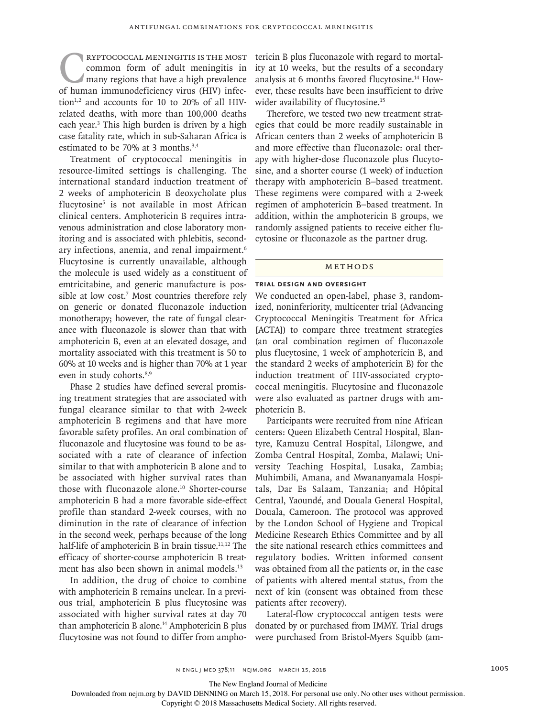**CRYPTOCOCCAL MENINGITIS IS THE MOST**<br>
common form of adult meningitis in<br>
many regions that have a high prevalence<br>
of human immunodeficiency virus (HIV) infeccommon form of adult meningitis in many regions that have a high prevalence of human immunodeficiency virus (HIV) infection<sup>1,2</sup> and accounts for 10 to 20% of all HIVrelated deaths, with more than 100,000 deaths each year.<sup>3</sup> This high burden is driven by a high case fatality rate, which in sub-Saharan Africa is estimated to be 70% at 3 months.3,4

Treatment of cryptococcal meningitis in resource-limited settings is challenging. The international standard induction treatment of 2 weeks of amphotericin B deoxycholate plus flucytosine5 is not available in most African clinical centers. Amphotericin B requires intravenous administration and close laboratory monitoring and is associated with phlebitis, secondary infections, anemia, and renal impairment.<sup>6</sup> Flucytosine is currently unavailable, although the molecule is used widely as a constituent of emtricitabine, and generic manufacture is possible at low cost.<sup>7</sup> Most countries therefore rely on generic or donated fluconazole induction monotherapy; however, the rate of fungal clearance with fluconazole is slower than that with amphotericin B, even at an elevated dosage, and mortality associated with this treatment is 50 to 60% at 10 weeks and is higher than 70% at 1 year even in study cohorts.<sup>8,9</sup>

Phase 2 studies have defined several promising treatment strategies that are associated with fungal clearance similar to that with 2-week amphotericin B regimens and that have more favorable safety profiles. An oral combination of fluconazole and flucytosine was found to be associated with a rate of clearance of infection similar to that with amphotericin B alone and to be associated with higher survival rates than those with fluconazole alone.<sup>10</sup> Shorter-course amphotericin B had a more favorable side-effect profile than standard 2-week courses, with no diminution in the rate of clearance of infection in the second week, perhaps because of the long half-life of amphotericin B in brain tissue.<sup>11,12</sup> The efficacy of shorter-course amphotericin B treatment has also been shown in animal models.<sup>13</sup>

In addition, the drug of choice to combine with amphotericin B remains unclear. In a previous trial, amphotericin B plus flucytosine was associated with higher survival rates at day 70 than amphotericin B alone.14 Amphotericin B plus flucytosine was not found to differ from amphotericin B plus fluconazole with regard to mortality at 10 weeks, but the results of a secondary analysis at 6 months favored flucytosine.<sup>14</sup> However, these results have been insufficient to drive wider availability of flucytosine.<sup>15</sup>

Therefore, we tested two new treatment strategies that could be more readily sustainable in African centers than 2 weeks of amphotericin B and more effective than fluconazole: oral therapy with higher-dose fluconazole plus flucytosine, and a shorter course (1 week) of induction therapy with amphotericin B–based treatment. These regimens were compared with a 2-week regimen of amphotericin B–based treatment. In addition, within the amphotericin B groups, we randomly assigned patients to receive either flucytosine or fluconazole as the partner drug.

#### METHODS

# **Trial Design and Oversight**

We conducted an open-label, phase 3, randomized, noninferiority, multicenter trial (Advancing Cryptococcal Meningitis Treatment for Africa [ACTA]) to compare three treatment strategies (an oral combination regimen of fluconazole plus flucytosine, 1 week of amphotericin B, and the standard 2 weeks of amphotericin B) for the induction treatment of HIV-associated cryptococcal meningitis. Flucytosine and fluconazole were also evaluated as partner drugs with amphotericin B.

Participants were recruited from nine African centers: Queen Elizabeth Central Hospital, Blantyre, Kamuzu Central Hospital, Lilongwe, and Zomba Central Hospital, Zomba, Malawi; University Teaching Hospital, Lusaka, Zambia; Muhimbili, Amana, and Mwananyamala Hospitals, Dar Es Salaam, Tanzania; and Hôpital Central, Yaoundé, and Douala General Hospital, Douala, Cameroon. The protocol was approved by the London School of Hygiene and Tropical Medicine Research Ethics Committee and by all the site national research ethics committees and regulatory bodies. Written informed consent was obtained from all the patients or, in the case of patients with altered mental status, from the next of kin (consent was obtained from these patients after recovery).

Lateral-flow cryptococcal antigen tests were donated by or purchased from IMMY. Trial drugs were purchased from Bristol-Myers Squibb (am-

The New England Journal of Medicine

Downloaded from nejm.org by DAVID DENNING on March 15, 2018. For personal use only. No other uses without permission.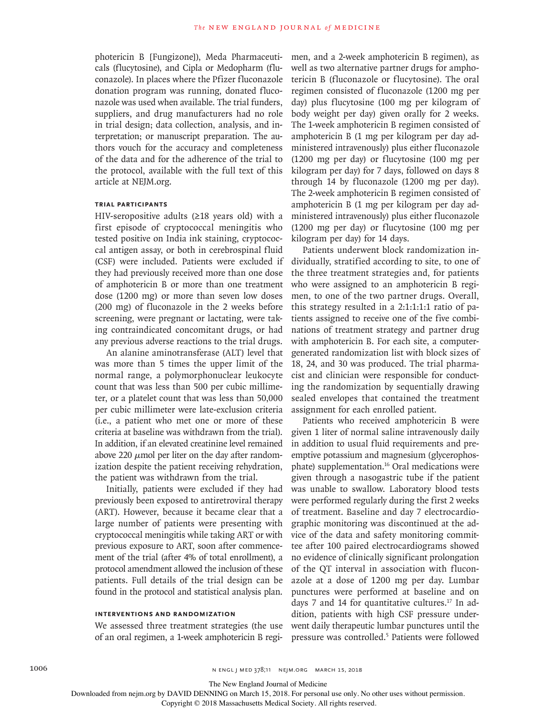photericin B [Fungizone]), Meda Pharmaceuticals (flucytosine), and Cipla or Medopharm (fluconazole). In places where the Pfizer fluconazole donation program was running, donated fluconazole was used when available. The trial funders, suppliers, and drug manufacturers had no role in trial design; data collection, analysis, and interpretation; or manuscript preparation. The authors vouch for the accuracy and completeness of the data and for the adherence of the trial to the protocol, available with the full text of this article at NEJM.org.

# **Trial Participants**

HIV-seropositive adults  $(≥18$  years old) with a first episode of cryptococcal meningitis who tested positive on India ink staining, cryptococcal antigen assay, or both in cerebrospinal fluid (CSF) were included. Patients were excluded if they had previously received more than one dose of amphotericin B or more than one treatment dose (1200 mg) or more than seven low doses (200 mg) of fluconazole in the 2 weeks before screening, were pregnant or lactating, were taking contraindicated concomitant drugs, or had any previous adverse reactions to the trial drugs.

An alanine aminotransferase (ALT) level that was more than 5 times the upper limit of the normal range, a polymorphonuclear leukocyte count that was less than 500 per cubic millimeter, or a platelet count that was less than 50,000 per cubic millimeter were late-exclusion criteria (i.e., a patient who met one or more of these criteria at baseline was withdrawn from the trial). In addition, if an elevated creatinine level remained above 220  $\mu$ mol per liter on the day after randomization despite the patient receiving rehydration, the patient was withdrawn from the trial.

Initially, patients were excluded if they had previously been exposed to antiretroviral therapy (ART). However, because it became clear that a large number of patients were presenting with cryptococcal meningitis while taking ART or with previous exposure to ART, soon after commencement of the trial (after 4% of total enrollment), a protocol amendment allowed the inclusion of these patients. Full details of the trial design can be found in the protocol and statistical analysis plan.

# **Interventions and Randomization**

We assessed three treatment strategies (the use of an oral regimen, a 1-week amphotericin B regimen, and a 2-week amphotericin B regimen), as well as two alternative partner drugs for amphotericin B (fluconazole or flucytosine). The oral regimen consisted of fluconazole (1200 mg per day) plus flucytosine (100 mg per kilogram of body weight per day) given orally for 2 weeks. The 1-week amphotericin B regimen consisted of amphotericin B (1 mg per kilogram per day administered intravenously) plus either fluconazole (1200 mg per day) or flucytosine (100 mg per kilogram per day) for 7 days, followed on days 8 through 14 by fluconazole (1200 mg per day). The 2-week amphotericin B regimen consisted of amphotericin B (1 mg per kilogram per day administered intravenously) plus either fluconazole (1200 mg per day) or flucytosine (100 mg per kilogram per day) for 14 days.

Patients underwent block randomization individually, stratified according to site, to one of the three treatment strategies and, for patients who were assigned to an amphotericin B regimen, to one of the two partner drugs. Overall, this strategy resulted in a 2:1:1:1:1 ratio of patients assigned to receive one of the five combinations of treatment strategy and partner drug with amphotericin B. For each site, a computergenerated randomization list with block sizes of 18, 24, and 30 was produced. The trial pharmacist and clinician were responsible for conducting the randomization by sequentially drawing sealed envelopes that contained the treatment assignment for each enrolled patient.

Patients who received amphotericin B were given 1 liter of normal saline intravenously daily in addition to usual fluid requirements and preemptive potassium and magnesium (glycerophosphate) supplementation.16 Oral medications were given through a nasogastric tube if the patient was unable to swallow. Laboratory blood tests were performed regularly during the first 2 weeks of treatment. Baseline and day 7 electrocardiographic monitoring was discontinued at the advice of the data and safety monitoring committee after 100 paired electrocardiograms showed no evidence of clinically significant prolongation of the QT interval in association with fluconazole at a dose of 1200 mg per day. Lumbar punctures were performed at baseline and on days 7 and 14 for quantitative cultures.<sup>17</sup> In addition, patients with high CSF pressure underwent daily therapeutic lumbar punctures until the pressure was controlled.5 Patients were followed

The New England Journal of Medicine

Downloaded from nejm.org by DAVID DENNING on March 15, 2018. For personal use only. No other uses without permission.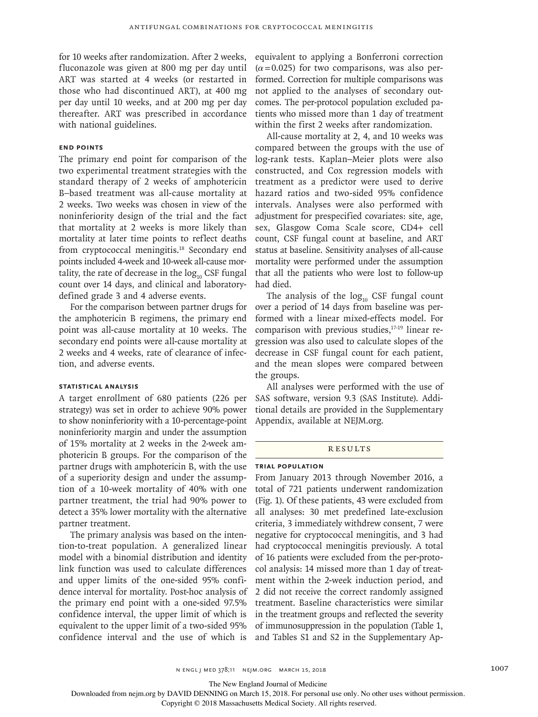for 10 weeks after randomization. After 2 weeks, fluconazole was given at 800 mg per day until ART was started at 4 weeks (or restarted in those who had discontinued ART), at 400 mg per day until 10 weeks, and at 200 mg per day thereafter. ART was prescribed in accordance with national guidelines.

# **End Points**

The primary end point for comparison of the two experimental treatment strategies with the standard therapy of 2 weeks of amphotericin B–based treatment was all-cause mortality at 2 weeks. Two weeks was chosen in view of the noninferiority design of the trial and the fact that mortality at 2 weeks is more likely than mortality at later time points to reflect deaths from cryptococcal meningitis.18 Secondary end points included 4-week and 10-week all-cause mortality, the rate of decrease in the  $log_{10}$  CSF fungal count over 14 days, and clinical and laboratorydefined grade 3 and 4 adverse events.

For the comparison between partner drugs for the amphotericin B regimens, the primary end point was all-cause mortality at 10 weeks. The secondary end points were all-cause mortality at 2 weeks and 4 weeks, rate of clearance of infection, and adverse events.

## **Statistical Analysis**

A target enrollment of 680 patients (226 per strategy) was set in order to achieve 90% power to show noninferiority with a 10-percentage-point noninferiority margin and under the assumption of 15% mortality at 2 weeks in the 2-week amphotericin B groups. For the comparison of the partner drugs with amphotericin B, with the use of a superiority design and under the assumption of a 10-week mortality of 40% with one partner treatment, the trial had 90% power to detect a 35% lower mortality with the alternative partner treatment.

The primary analysis was based on the intention-to-treat population. A generalized linear model with a binomial distribution and identity link function was used to calculate differences and upper limits of the one-sided 95% confidence interval for mortality. Post-hoc analysis of the primary end point with a one-sided 97.5% confidence interval, the upper limit of which is equivalent to the upper limit of a two-sided 95% confidence interval and the use of which is equivalent to applying a Bonferroni correction  $(\alpha = 0.025)$  for two comparisons, was also performed. Correction for multiple comparisons was not applied to the analyses of secondary outcomes. The per-protocol population excluded patients who missed more than 1 day of treatment within the first 2 weeks after randomization.

All-cause mortality at 2, 4, and 10 weeks was compared between the groups with the use of log-rank tests. Kaplan–Meier plots were also constructed, and Cox regression models with treatment as a predictor were used to derive hazard ratios and two-sided 95% confidence intervals. Analyses were also performed with adjustment for prespecified covariates: site, age, sex, Glasgow Coma Scale score, CD4+ cell count, CSF fungal count at baseline, and ART status at baseline. Sensitivity analyses of all-cause mortality were performed under the assumption that all the patients who were lost to follow-up had died.

The analysis of the  $log_{10}$  CSF fungal count over a period of 14 days from baseline was performed with a linear mixed-effects model. For comparison with previous studies,17-19 linear regression was also used to calculate slopes of the decrease in CSF fungal count for each patient, and the mean slopes were compared between the groups.

All analyses were performed with the use of SAS software, version 9.3 (SAS Institute). Additional details are provided in the Supplementary Appendix, available at NEJM.org.

# **RESULTS**

# **Trial Population**

From January 2013 through November 2016, a total of 721 patients underwent randomization (Fig. 1). Of these patients, 43 were excluded from all analyses: 30 met predefined late-exclusion criteria, 3 immediately withdrew consent, 7 were negative for cryptococcal meningitis, and 3 had had cryptococcal meningitis previously. A total of 16 patients were excluded from the per-protocol analysis: 14 missed more than 1 day of treatment within the 2-week induction period, and 2 did not receive the correct randomly assigned treatment. Baseline characteristics were similar in the treatment groups and reflected the severity of immunosuppression in the population (Table 1, and Tables S1 and S2 in the Supplementary Ap-

The New England Journal of Medicine

Downloaded from nejm.org by DAVID DENNING on March 15, 2018. For personal use only. No other uses without permission.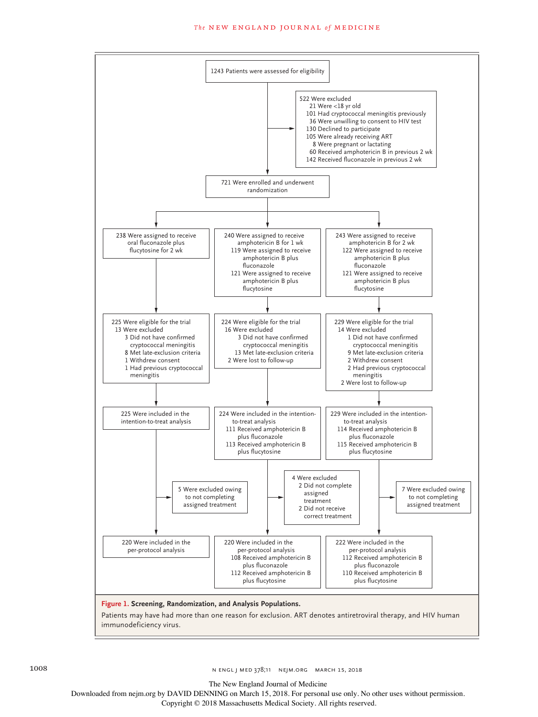

The New England Journal of Medicine

Downloaded from nejm.org by DAVID DENNING on March 15, 2018. For personal use only. No other uses without permission.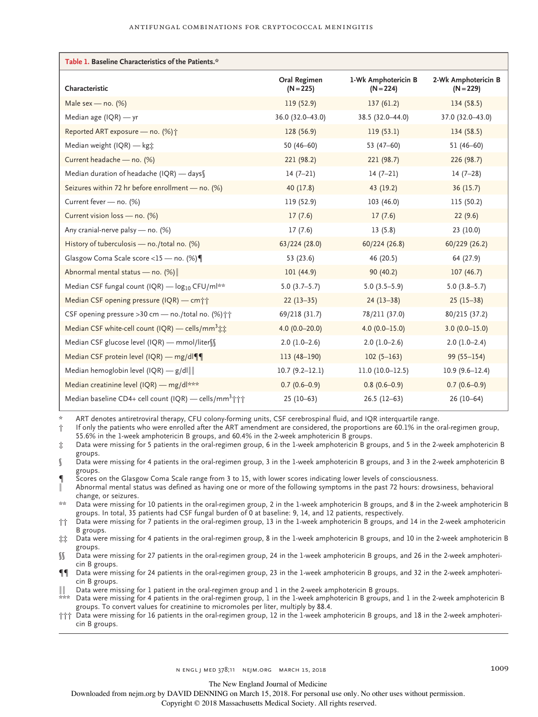| Table 1. Baseline Characteristics of the Patients.*               |                             |                                    |                                    |
|-------------------------------------------------------------------|-----------------------------|------------------------------------|------------------------------------|
| Characteristic                                                    | Oral Regimen<br>$(N = 225)$ | 1-Wk Amphotericin B<br>$(N = 224)$ | 2-Wk Amphotericin B<br>$(N = 229)$ |
| Male sex - no. $(%)$                                              | 119 (52.9)                  | 137(61.2)                          | 134(58.5)                          |
| Median age $(IQR)$ - yr                                           | 36.0 (32.0-43.0)            | 38.5 (32.0-44.0)                   | 37.0 (32.0-43.0)                   |
| Reported ART exposure - no. (%) <sup>+</sup>                      | 128 (56.9)                  | 119(53.1)                          | 134(58.5)                          |
| Median weight (IQR) - kg;                                         | 50 $(46 - 60)$              | 53 $(47-60)$                       | $51(46-60)$                        |
| Current headache - no. (%)                                        | 221 (98.2)                  | 221 (98.7)                         | 226 (98.7)                         |
| Median duration of headache (IQR) - days                          | $14(7-21)$                  | $14(7-21)$                         | $14(7-28)$                         |
| Seizures within 72 hr before enrollment - no. (%)                 | 40 (17.8)                   | 43 (19.2)                          | 36(15.7)                           |
| Current fever - no. (%)                                           | 119 (52.9)                  | 103 (46.0)                         | 115 (50.2)                         |
| Current vision loss - no. (%)                                     | 17(7.6)                     | 17(7.6)                            | 22(9.6)                            |
| Any cranial-nerve palsy - no. (%)                                 | 17(7.6)                     | 13(5.8)                            | 23(10.0)                           |
| History of tuberculosis - no./total no. (%)                       | 63/224(28.0)                | 60/224(26.8)                       | 60/229 (26.2)                      |
| Glasgow Coma Scale score <15 - no. (%)                            | 53 (23.6)                   | 46 (20.5)                          | 64 (27.9)                          |
| Abnormal mental status - no. (%)                                  | 101(44.9)                   | 90(40.2)                           | 107(46.7)                          |
| Median CSF fungal count (IQR) — log <sub>10</sub> CFU/ml**        | $5.0(3.7-5.7)$              | $5.0(3.5-5.9)$                     | $5.0(3.8-5.7)$                     |
| Median CSF opening pressure (IQR) — cm;;                          | $22(13-35)$                 | $24(13-38)$                        | $25(15-38)$                        |
| CSF opening pressure > 30 cm - no./total no. (%) † †              | 69/218 (31.7)               | 78/211 (37.0)                      | 80/215 (37.2)                      |
| Median CSF white-cell count (IQR) — cells/mm <sup>3</sup> ##      | 4.0 $(0.0 - 20.0)$          | 4.0 $(0.0 - 15.0)$                 | $3.0(0.0-15.0)$                    |
| Median CSF glucose level (IQR) - mmol/liter \\                    | $2.0(1.0-2.6)$              | $2.0(1.0-2.6)$                     | $2.0(1.0-2.4)$                     |
| Median CSF protein level (IQR) - mg/dl¶                           | $113(48-190)$               | $102(5 - 163)$                     | $99(55 - 154)$                     |
| Median hemoglobin level (IQR) $-$ g/dl $\ $                       | $10.7(9.2 - 12.1)$          | $11.0(10.0-12.5)$                  | $10.9(9.6-12.4)$                   |
| Median creatinine level (IQR) - mg/dl***                          | $0.7(0.6-0.9)$              | $0.8(0.6-0.9)$                     | $0.7(0.6-0.9)$                     |
| Median baseline CD4+ cell count (IQR) — cells/mm <sup>3</sup> ††† | $25(10-63)$                 | $26.5(12-63)$                      | $26(10-64)$                        |

ART denotes antiretroviral therapy, CFU colony-forming units, CSF cerebrospinal fluid, and IQR interquartile range.

† If only the patients who were enrolled after the ART amendment are considered, the proportions are 60.1% in the oral-regimen group, 55.6% in the 1-week amphotericin B groups, and 60.4% in the 2-week amphotericin B groups.

‡ Data were missing for 5 patients in the oral-regimen group, 6 in the 1-week amphotericin B groups, and 5 in the 2-week amphotericin B groups.

§ Data were missing for 4 patients in the oral-regimen group, 3 in the 1-week amphotericin B groups, and 3 in the 2-week amphotericin B groups.

Scores on the Glasgow Coma Scale range from 3 to 15, with lower scores indicating lower levels of consciousness.

∥ Abnormal mental status was defined as having one or more of the following symptoms in the past 72 hours: drowsiness, behavioral change, or seizures.

\*\* Data were missing for 10 patients in the oral-regimen group, 2 in the 1-week amphotericin B groups, and 8 in the 2-week amphotericin B groups. In total, 35 patients had CSF fungal burden of 0 at baseline: 9, 14, and 12 patients, respectively.

†† Data were missing for 7 patients in the oral-regimen group, 13 in the 1-week amphotericin B groups, and 14 in the 2-week amphotericin B groups.

‡‡ Data were missing for 4 patients in the oral-regimen group, 8 in the 1-week amphotericin B groups, and 10 in the 2-week amphotericin B groups.

§§ Data were missing for 27 patients in the oral-regimen group, 24 in the 1-week amphotericin B groups, and 26 in the 2-week amphotericin B groups.

¶¶ Data were missing for 24 patients in the oral-regimen group, 23 in the 1-week amphotericin B groups, and 32 in the 2-week amphotericin B groups.

∥∥ Data were missing for 1 patient in the oral-regimen group and 1 in the 2-week amphotericin B groups.

\*\*\* Data were missing for 4 patients in the oral-regimen group, 1 in the 1-week amphotericin B groups, and 1 in the 2-week amphotericin B groups. To convert values for creatinine to micromoles per liter, multiply by 88.4.

††† Data were missing for 16 patients in the oral-regimen group, 12 in the 1-week amphotericin B groups, and 18 in the 2-week amphotericin B groups.

The New England Journal of Medicine

Downloaded from nejm.org by DAVID DENNING on March 15, 2018. For personal use only. No other uses without permission.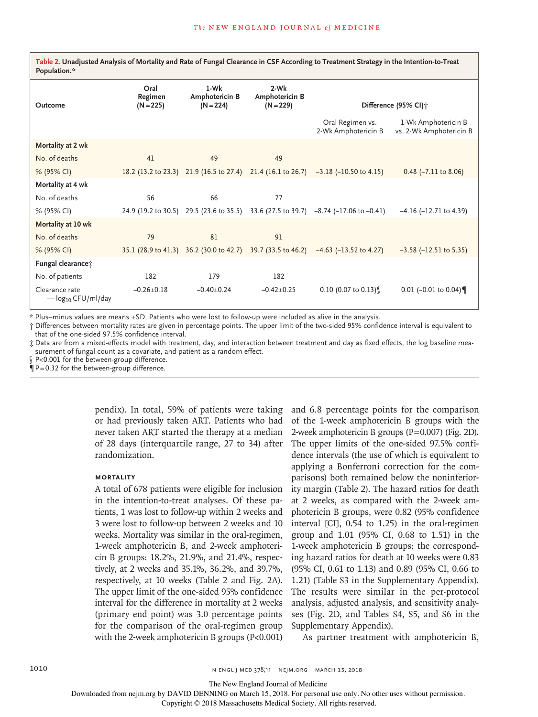Table 2. Unadjusted Analysis of Mortality and Rate of Fungal Clearance in CSF According to Treatment Strategy in the Intention-to-Treat **Population.\***

| Outcome                                   | Oral<br>Regimen<br>$(N = 225)$ | 1-Wk<br>Amphotericin B<br>$(N = 224)$ | 2-Wk<br>Amphotericin B<br>$(N = 229)$                       |                                                                                     | Difference (95% CI) †                          |
|-------------------------------------------|--------------------------------|---------------------------------------|-------------------------------------------------------------|-------------------------------------------------------------------------------------|------------------------------------------------|
|                                           |                                |                                       |                                                             | Oral Regimen vs.<br>2-Wk Amphotericin B                                             | 1-Wk Amphotericin B<br>vs. 2-Wk Amphotericin B |
| Mortality at 2 wk                         |                                |                                       |                                                             |                                                                                     |                                                |
| No. of deaths                             | 41                             | 49                                    | 49                                                          |                                                                                     |                                                |
| % (95% CI)                                |                                |                                       | 18.2 (13.2 to 23.3) 21.9 (16.5 to 27.4) 21.4 (16.1 to 26.7) | $-3.18$ ( $-10.50$ to 4.15)                                                         | $0.48$ ( $-7.11$ to 8.06)                      |
| Mortality at 4 wk                         |                                |                                       |                                                             |                                                                                     |                                                |
| No. of deaths                             | 56                             | 66                                    | 77                                                          |                                                                                     |                                                |
| % (95% CI)                                |                                |                                       |                                                             | 24.9 (19.2 to 30.5) 29.5 (23.6 to 35.5) 33.6 (27.5 to 39.7) -8.74 (-17.06 to -0.41) | $-4.16$ ( $-12.71$ to 4.39)                    |
| Mortality at 10 wk                        |                                |                                       |                                                             |                                                                                     |                                                |
| No. of deaths                             | 79                             | 81                                    | 91                                                          |                                                                                     |                                                |
| % (95% CI)                                |                                |                                       | 35.1 (28.9 to 41.3) 36.2 (30.0 to 42.7) 39.7 (33.5 to 46.2) | $-4.63$ ( $-13.52$ to 4.27)                                                         | $-3.58$ ( $-12.51$ to 5.35)                    |
| Fungal clearance;                         |                                |                                       |                                                             |                                                                                     |                                                |
| No. of patients                           | 182                            | 179                                   | 182                                                         |                                                                                     |                                                |
| Clearance rate<br>$-\log_{10}$ CFU/ml/day | $-0.26 \pm 0.18$               | $-0.40+0.24$                          | $-0.42+0.25$                                                | $0.10$ (0.07 to 0.13)                                                               | 0.01 (-0.01 to 0.04)                           |

\* Plus–minus values are means ±SD. Patients who were lost to follow-up were included as alive in the analysis.

† Differences between mortality rates are given in percentage points. The upper limit of the two-sided 95% confidence interval is equivalent to that of the one-sided 97.5% confidence interval.

‡ Data are from a mixed-effects model with treatment, day, and interaction between treatment and day as fixed effects, the log baseline measurement of fungal count as a covariate, and patient as a random effect.

P<0.001 for the between-group difference.

 $\P P = 0.32$  for the between-group difference.

pendix). In total, 59% of patients were taking or had previously taken ART. Patients who had never taken ART started the therapy at a median of 28 days (interquartile range, 27 to 34) after randomization.

# **Mortality**

A total of 678 patients were eligible for inclusion in the intention-to-treat analyses. Of these patients, 1 was lost to follow-up within 2 weeks and 3 were lost to follow-up between 2 weeks and 10 weeks. Mortality was similar in the oral-regimen, 1-week amphotericin B, and 2-week amphotericin B groups: 18.2%, 21.9%, and 21.4%, respectively, at 2 weeks and 35.1%, 36.2%, and 39.7%, respectively, at 10 weeks (Table 2 and Fig. 2A). The upper limit of the one-sided 95% confidence interval for the difference in mortality at 2 weeks (primary end point) was 3.0 percentage points for the comparison of the oral-regimen group with the 2-week amphotericin B groups (P<0.001)

and 6.8 percentage points for the comparison of the 1-week amphotericin B groups with the 2-week amphotericin B groups (P=0.007) (Fig. 2D). The upper limits of the one-sided 97.5% confidence intervals (the use of which is equivalent to applying a Bonferroni correction for the comparisons) both remained below the noninferiority margin (Table 2). The hazard ratios for death at 2 weeks, as compared with the 2-week amphotericin B groups, were 0.82 (95% confidence interval [CI], 0.54 to 1.25) in the oral-regimen group and 1.01 (95% CI, 0.68 to 1.51) in the 1-week amphotericin B groups; the corresponding hazard ratios for death at 10 weeks were 0.83 (95% CI, 0.61 to 1.13) and 0.89 (95% CI, 0.66 to 1.21) (Table S3 in the Supplementary Appendix). The results were similar in the per-protocol analysis, adjusted analysis, and sensitivity analyses (Fig. 2D, and Tables S4, S5, and S6 in the Supplementary Appendix).

As partner treatment with amphotericin B,

The New England Journal of Medicine

Downloaded from nejm.org by DAVID DENNING on March 15, 2018. For personal use only. No other uses without permission.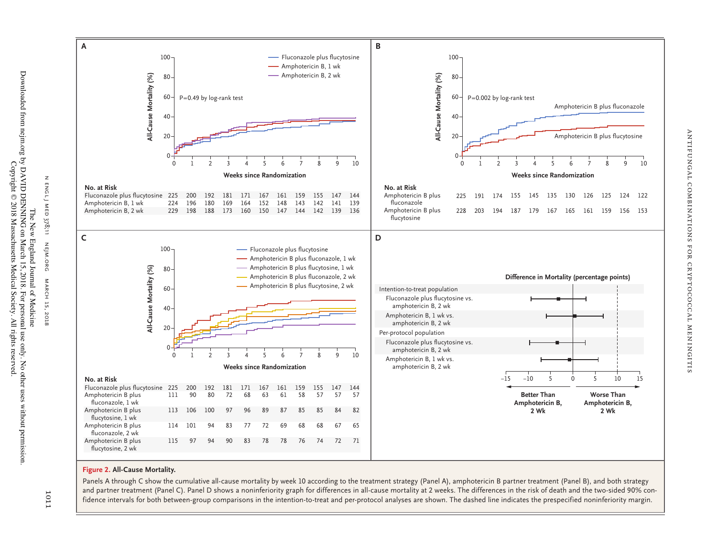

# **Figure 2. All-Cause Mortality.**

Panels A through C show the cumulative all-cause mortality by week 10 according to the treatment strategy (Panel A), amphotericin B partner treatment (Panel B), and both strategy and partner treatment (Panel C). Panel D shows a noninferiority graph for differences in all-cause mortality at 2 weeks. The differences in the risk of death and the two-sided 90% con-

n engl j med

 $\mathbb Z$ ENGL)

MED 378;11

nejm.org

NEJM.ORG

MARCH 15, 2018

**MARCH** 15,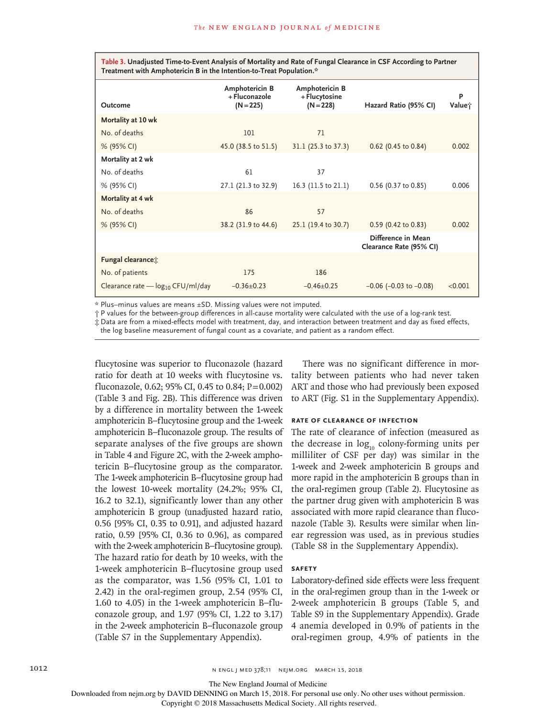Table 3. Unadjusted Time-to-Event Analysis of Mortality and Rate of Fungal Clearance in CSF According to Partner **Treatment with Amphotericin B in the Intention-to-Treat Population.\***

| Outcome                                       | Amphotericin B<br>+ Fluconazole<br>$(N = 225)$ | Amphotericin B<br>+ Flucytosine<br>$(N = 228)$ | Hazard Ratio (95% CI)                         | P<br>Valuet |
|-----------------------------------------------|------------------------------------------------|------------------------------------------------|-----------------------------------------------|-------------|
| Mortality at 10 wk                            |                                                |                                                |                                               |             |
| No. of deaths                                 | 101                                            | 71                                             |                                               |             |
| % (95% CI)                                    | 45.0 (38.5 to 51.5)                            | 31.1 (25.3 to 37.3)                            | $0.62$ (0.45 to 0.84)                         | 0.002       |
| Mortality at 2 wk                             |                                                |                                                |                                               |             |
| No. of deaths                                 | 61                                             | 37                                             |                                               |             |
| % (95% CI)                                    | 27.1 (21.3 to 32.9)                            | 16.3 (11.5 to 21.1)                            | 0.56 (0.37 to 0.85)                           | 0.006       |
| Mortality at 4 wk                             |                                                |                                                |                                               |             |
| No. of deaths                                 | 86                                             | 57                                             |                                               |             |
| % (95% CI)                                    | 38.2 (31.9 to 44.6)                            | 25.1 (19.4 to 30.7)                            | $0.59$ (0.42 to 0.83)                         | 0.002       |
|                                               |                                                |                                                | Difference in Mean<br>Clearance Rate (95% CI) |             |
| Fungal clearance <sup>+</sup>                 |                                                |                                                |                                               |             |
| No. of patients                               | 175                                            | 186                                            |                                               |             |
| Clearance rate - log <sub>10</sub> CFU/ml/day | $-0.36 \pm 0.23$                               | $-0.46 \pm 0.25$                               | $-0.06$ ( $-0.03$ to $-0.08$ )                | < 0.001     |

\* Plus–minus values are means ±SD. Missing values were not imputed.

† P values for the between-group differences in all-cause mortality were calculated with the use of a log-rank test.

‡ Data are from a mixed-effects model with treatment, day, and interaction between treatment and day as fixed effects,

the log baseline measurement of fungal count as a covariate, and patient as a random effect.

flucytosine was superior to fluconazole (hazard ratio for death at 10 weeks with flucytosine vs. fluconazole, 0.62; 95% CI, 0.45 to 0.84;  $P = 0.002$ ) (Table 3 and Fig. 2B). This difference was driven by a difference in mortality between the 1-week amphotericin B–flucytosine group and the 1-week amphotericin B–fluconazole group. The results of separate analyses of the five groups are shown in Table 4 and Figure 2C, with the 2-week amphotericin B–flucytosine group as the comparator. The 1-week amphotericin B–flucytosine group had the lowest 10-week mortality (24.2%; 95% CI, 16.2 to 32.1), significantly lower than any other amphotericin B group (unadjusted hazard ratio, 0.56 [95% CI, 0.35 to 0.91], and adjusted hazard ratio, 0.59 [95% CI, 0.36 to 0.96], as compared with the 2-week amphotericin B–flucytosine group). The hazard ratio for death by 10 weeks, with the 1-week amphotericin B–flucytosine group used as the comparator, was 1.56 (95% CI, 1.01 to 2.42) in the oral-regimen group, 2.54 (95% CI, 1.60 to 4.05) in the 1-week amphotericin B–fluconazole group, and 1.97 (95% CI, 1.22 to 3.17) in the 2-week amphotericin B–fluconazole group (Table S7 in the Supplementary Appendix).

There was no significant difference in mortality between patients who had never taken ART and those who had previously been exposed to ART (Fig. S1 in the Supplementary Appendix).

#### **Rate of Clearance of Infection**

The rate of clearance of infection (measured as the decrease in  $log_{10}$  colony-forming units per milliliter of CSF per day) was similar in the 1-week and 2-week amphotericin B groups and more rapid in the amphotericin B groups than in the oral-regimen group (Table 2). Flucytosine as the partner drug given with amphotericin B was associated with more rapid clearance than fluconazole (Table 3). Results were similar when linear regression was used, as in previous studies (Table S8 in the Supplementary Appendix).

## **Safety**

Laboratory-defined side effects were less frequent in the oral-regimen group than in the 1-week or 2-week amphotericin B groups (Table 5, and Table S9 in the Supplementary Appendix). Grade 4 anemia developed in 0.9% of patients in the oral-regimen group, 4.9% of patients in the

The New England Journal of Medicine

Downloaded from nejm.org by DAVID DENNING on March 15, 2018. For personal use only. No other uses without permission.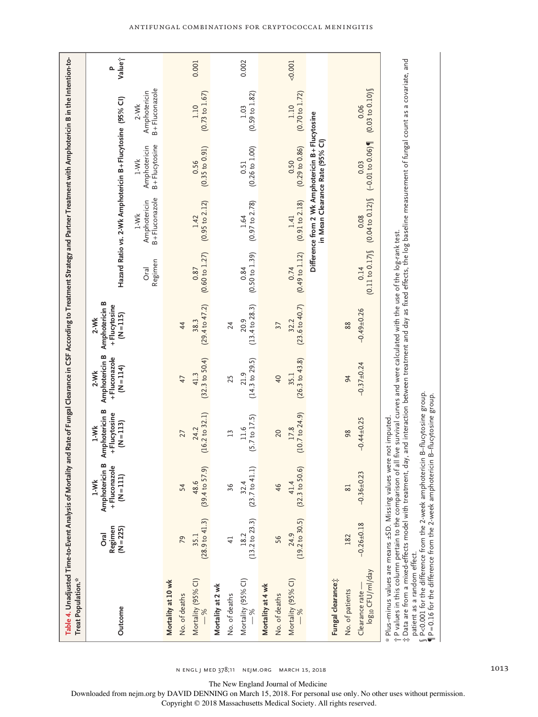| Table 4. Unadjusted Time-to-Event Analysis of Mortality and Rate of Fungal Clearance in CSF According to Treatment Strategy and Partner Treatment with Amphotericin B in the Intention-to<br>Treat Population.*                                                                                                                                                                                                                         |                                       |                                                             |                                                         |                                                         |                                                         |                                   |                                         |                                                                                    |                                         |             |
|-----------------------------------------------------------------------------------------------------------------------------------------------------------------------------------------------------------------------------------------------------------------------------------------------------------------------------------------------------------------------------------------------------------------------------------------|---------------------------------------|-------------------------------------------------------------|---------------------------------------------------------|---------------------------------------------------------|---------------------------------------------------------|-----------------------------------|-----------------------------------------|------------------------------------------------------------------------------------|-----------------------------------------|-------------|
| Outcome                                                                                                                                                                                                                                                                                                                                                                                                                                 | Regimen<br>$(N = 225)$<br><b>Oral</b> | Amphotericin B<br>+Fluconazole<br>$(N = 111)$<br>$1-Mk$     | Amphotericin B<br>+Flucytosine<br>$(N = 113)$<br>$1-Mk$ | Amphotericin B<br>+Fluconazole<br>$(N = 114)$<br>$2-Wk$ | Amphotericin B<br>+Flucytosine<br>$(N = 115)$<br>$2-Wk$ |                                   |                                         | Hazard Ratio vs. 2-Wk Amphotericin B+Flucytosine (95% Cl)                          |                                         | Valuej<br>Δ |
|                                                                                                                                                                                                                                                                                                                                                                                                                                         |                                       |                                                             |                                                         |                                                         |                                                         | Regimen<br>Oral                   | B+Fluconazole<br>Amphotericin<br>$1-Wk$ | B+Flucytosine<br>Amphotericin<br>$1-Mk$                                            | B+Fluconazole<br>Amphotericin<br>$2-Wk$ |             |
| Mortality at 10 wk                                                                                                                                                                                                                                                                                                                                                                                                                      |                                       |                                                             |                                                         |                                                         |                                                         |                                   |                                         |                                                                                    |                                         |             |
| No. of deaths                                                                                                                                                                                                                                                                                                                                                                                                                           | 79                                    | 54                                                          | 27                                                      | 47                                                      | 44                                                      |                                   |                                         |                                                                                    |                                         |             |
| Mortality (95% CI)<br>$- \frac{9}{6}$                                                                                                                                                                                                                                                                                                                                                                                                   |                                       | $(28.9 \text{ to } 41.3)$ $(39.4 \text{ to } 57.9)$<br>48.6 | (16.2 to 32.1)<br>24.2                                  | $(32.3$ to $50.4)$<br>41.3                              | (29.4 to 47.2)<br>38.3                                  | (0.60 to 1.27)<br>0.87            | $(0.95$ to $2.12)$                      | (0.35 to 0.91)<br>0.56                                                             | (0.73 to 1.67)<br>1.10                  | 0.001       |
| Mortality at 2 wk                                                                                                                                                                                                                                                                                                                                                                                                                       |                                       |                                                             |                                                         |                                                         |                                                         |                                   |                                         |                                                                                    |                                         |             |
| No. of deaths                                                                                                                                                                                                                                                                                                                                                                                                                           | $\overline{4}$                        | 36                                                          | 13                                                      | 25                                                      | 24                                                      |                                   |                                         |                                                                                    |                                         |             |
| Mortality (95% CI) $-$ %                                                                                                                                                                                                                                                                                                                                                                                                                |                                       | 18.2<br>$(13.2 \text{ to } 23.3)$ $(23.7 \text{ to } 41.1)$ | (5.7 to 17.5)<br>11.6                                   | $(14.3$ to $29.5)$<br>21.9                              | $(13.4 \text{ to } 28.3)$<br>20.9                       | $(0.50 \text{ to } 1.39)$<br>0.84 | (0.97 to 2.78)<br>1.64                  | $(0.26 \text{ to } 1.00)$<br>0.51                                                  | $(0.59 \text{ to } 1.82)$<br>1.03       | 0.002       |
| Mortality at 4 wk                                                                                                                                                                                                                                                                                                                                                                                                                       |                                       |                                                             |                                                         |                                                         |                                                         |                                   |                                         |                                                                                    |                                         |             |
| No. of deaths                                                                                                                                                                                                                                                                                                                                                                                                                           | 56                                    | 46                                                          | 20                                                      | $\overline{40}$                                         | 37                                                      |                                   |                                         |                                                                                    |                                         |             |
| Mortality (95% CI)<br>$-$ %                                                                                                                                                                                                                                                                                                                                                                                                             | (19.2 to 30.5)<br>24.9                | (32.3 to 50.6)<br>41.4                                      | (10.7 to 24.9)<br>17.8                                  | (26.3 to 43.8)<br>35.1                                  | $(23.6 \text{ to } 40.7)$<br>32.2                       | $(0.49 \text{ to } 1.12)$<br>0.74 | (0.91 to 2.18)<br>1.41                  | (0.29 to 0.86)<br>0.50                                                             | (0.70 to 1.72)<br>1.10                  | $-0.001$    |
|                                                                                                                                                                                                                                                                                                                                                                                                                                         |                                       |                                                             |                                                         |                                                         |                                                         |                                   |                                         | Difference from 2 Wk Amphotericin B+Flucytosine<br>in Mean Clearance Rate (95% Cl) |                                         |             |
| Fungal clearance;                                                                                                                                                                                                                                                                                                                                                                                                                       |                                       |                                                             |                                                         |                                                         |                                                         |                                   |                                         |                                                                                    |                                         |             |
| No. of patients                                                                                                                                                                                                                                                                                                                                                                                                                         | 182                                   | 81                                                          | 98                                                      | 94                                                      | 88                                                      |                                   |                                         |                                                                                    |                                         |             |
| log <sub>10</sub> CFU/ml/day<br>Clearance rate                                                                                                                                                                                                                                                                                                                                                                                          | $-0.26 \pm 0.18$                      | 23<br>$-0.36 + 0.$                                          | $-0.44 + 0.25$                                          | $-0.37 + 0.24$                                          | $-0.49 + 0.26$                                          | (0.11 to 0.17)<br>0.14            | $(0.04 \text{ to } 0.12)$<br>0.08       | $(-0.01 to 0.06)$<br>0.03                                                          | (0.03 to 0.10)<br>0.06                  |             |
| : Data are from a mixed-effects model with treatment, day, and interaction between treatment and day as fixed effects, the log baseline measurement of fungal count as a covariate, and<br>t P values in this column pertain to the comparison of all five survival curves and were calculated with the use of the log-rank test.<br>* Plus-minus values are means ±SD. Missing values were not imputed.<br>patient as a random effect. |                                       |                                                             |                                                         |                                                         |                                                         |                                   |                                         |                                                                                    |                                         |             |
| $\frac{6}{9}$ P<0.001 for the difference from the 2-week amphotericin B–flucytosine group.<br>$\P$ P=0.16 for the difference from the 2-week amphotericin B–flucytosine group.<br>P=0.16 for the difference from the 2-week amphotericin B-flucytosine group.                                                                                                                                                                           |                                       |                                                             |                                                         |                                                         |                                                         |                                   |                                         |                                                                                    |                                         |             |

The New England Journal of Medicine

Downloaded from nejm.org by DAVID DENNING on March 15, 2018. For personal use only. No other uses without permission.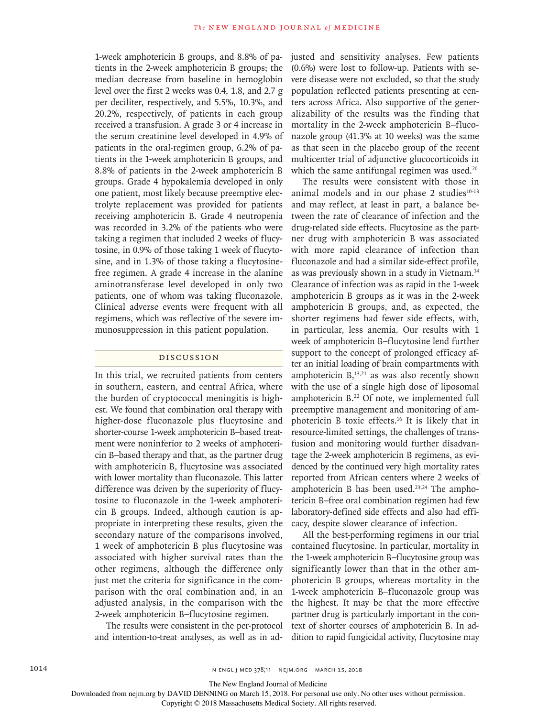1-week amphotericin B groups, and 8.8% of patients in the 2-week amphotericin B groups; the median decrease from baseline in hemoglobin level over the first 2 weeks was 0.4, 1.8, and 2.7 g per deciliter, respectively, and 5.5%, 10.3%, and 20.2%, respectively, of patients in each group received a transfusion. A grade 3 or 4 increase in the serum creatinine level developed in 4.9% of patients in the oral-regimen group, 6.2% of patients in the 1-week amphotericin B groups, and 8.8% of patients in the 2-week amphotericin B groups. Grade 4 hypokalemia developed in only one patient, most likely because preemptive electrolyte replacement was provided for patients receiving amphotericin B. Grade 4 neutropenia was recorded in 3.2% of the patients who were taking a regimen that included 2 weeks of flucytosine, in 0.9% of those taking 1 week of flucytosine, and in 1.3% of those taking a flucytosinefree regimen. A grade 4 increase in the alanine aminotransferase level developed in only two patients, one of whom was taking fluconazole. Clinical adverse events were frequent with all regimens, which was reflective of the severe immunosuppression in this patient population.

#### Discussion

In this trial, we recruited patients from centers in southern, eastern, and central Africa, where the burden of cryptococcal meningitis is highest. We found that combination oral therapy with higher-dose fluconazole plus flucytosine and shorter-course 1-week amphotericin B–based treatment were noninferior to 2 weeks of amphotericin B–based therapy and that, as the partner drug with amphotericin B, flucytosine was associated with lower mortality than fluconazole. This latter difference was driven by the superiority of flucytosine to fluconazole in the 1-week amphotericin B groups. Indeed, although caution is appropriate in interpreting these results, given the secondary nature of the comparisons involved, 1 week of amphotericin B plus flucytosine was associated with higher survival rates than the other regimens, although the difference only just met the criteria for significance in the comparison with the oral combination and, in an adjusted analysis, in the comparison with the 2-week amphotericin B–flucytosine regimen.

The results were consistent in the per-protocol and intention-to-treat analyses, as well as in ad-

justed and sensitivity analyses. Few patients (0.6%) were lost to follow-up. Patients with severe disease were not excluded, so that the study population reflected patients presenting at centers across Africa. Also supportive of the generalizability of the results was the finding that mortality in the 2-week amphotericin B–fluconazole group (41.3% at 10 weeks) was the same as that seen in the placebo group of the recent multicenter trial of adjunctive glucocorticoids in which the same antifungal regimen was used.<sup>20</sup>

The results were consistent with those in animal models and in our phase  $2$  studies<sup>10-13</sup> and may reflect, at least in part, a balance between the rate of clearance of infection and the drug-related side effects. Flucytosine as the partner drug with amphotericin B was associated with more rapid clearance of infection than fluconazole and had a similar side-effect profile, as was previously shown in a study in Vietnam.14 Clearance of infection was as rapid in the 1-week amphotericin B groups as it was in the 2-week amphotericin B groups, and, as expected, the shorter regimens had fewer side effects, with, in particular, less anemia. Our results with 1 week of amphotericin B–flucytosine lend further support to the concept of prolonged efficacy after an initial loading of brain compartments with amphotericin  $B$ <sup>13,21</sup> as was also recently shown with the use of a single high dose of liposomal amphotericin B.<sup>22</sup> Of note, we implemented full preemptive management and monitoring of amphotericin B toxic effects.16 It is likely that in resource-limited settings, the challenges of transfusion and monitoring would further disadvantage the 2-week amphotericin B regimens, as evidenced by the continued very high mortality rates reported from African centers where 2 weeks of amphotericin B has been used. $23,24$  The amphotericin B–free oral combination regimen had few laboratory-defined side effects and also had efficacy, despite slower clearance of infection.

All the best-performing regimens in our trial contained flucytosine. In particular, mortality in the 1-week amphotericin B–flucytosine group was significantly lower than that in the other amphotericin B groups, whereas mortality in the 1-week amphotericin B–fluconazole group was the highest. It may be that the more effective partner drug is particularly important in the context of shorter courses of amphotericin B. In addition to rapid fungicidal activity, flucytosine may

The New England Journal of Medicine

Downloaded from nejm.org by DAVID DENNING on March 15, 2018. For personal use only. No other uses without permission.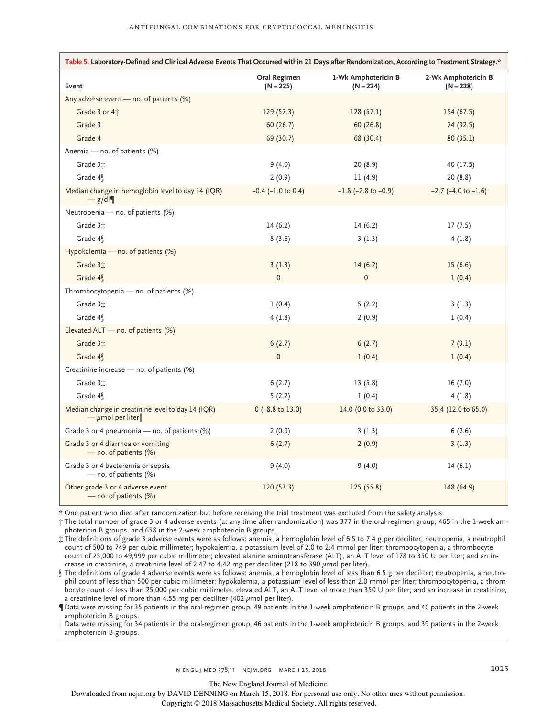| Table 5. Laboratory-Defined and Clinical Adverse Events That Occurred within 21 Days after Randomization, According to Treatment Strategy.* |                             |                                    |                                    |  |  |
|---------------------------------------------------------------------------------------------------------------------------------------------|-----------------------------|------------------------------------|------------------------------------|--|--|
| Event                                                                                                                                       | Oral Regimen<br>$(N = 225)$ | 1-Wk Amphotericin B<br>$(N = 224)$ | 2-Wk Amphotericin B<br>$(N = 228)$ |  |  |
| Any adverse event - no. of patients (%)                                                                                                     |                             |                                    |                                    |  |  |
| Grade 3 or 4 <sup>+</sup>                                                                                                                   | 129(57.3)                   | 128(57.1)                          | 154(67.5)                          |  |  |
| Grade 3                                                                                                                                     | 60 (26.7)                   | 60(26.8)                           | 74 (32.5)                          |  |  |
| Grade 4                                                                                                                                     | 69 (30.7)                   | 68 (30.4)                          | 80(35.1)                           |  |  |
| Anemia - no. of patients (%)                                                                                                                |                             |                                    |                                    |  |  |
| Grade 3 <sup>+</sup>                                                                                                                        | 9(4.0)                      | 20(8.9)                            | 40 (17.5)                          |  |  |
| Grade 4\                                                                                                                                    | 2(0.9)                      | 11(4.9)                            | 20(8.8)                            |  |  |
| Median change in hemoglobin level to day 14 (IQR)<br>$-g/dl$                                                                                | $-0.4$ ( $-1.0$ to 0.4)     | $-1.8$ (-2.8 to $-0.9$ )           | $-2.7$ ( $-4.0$ to $-1.6$ )        |  |  |
| Neutropenia - no. of patients (%)                                                                                                           |                             |                                    |                                    |  |  |
| Grade 3:                                                                                                                                    | 14(6.2)                     | 14(6.2)                            | 17(7.5)                            |  |  |
| Grade 4\                                                                                                                                    | 8(3.6)                      | 3(1.3)                             | 4(1.8)                             |  |  |
| Hypokalemia - no. of patients (%)                                                                                                           |                             |                                    |                                    |  |  |
| Grade 3 <sup>+</sup>                                                                                                                        | 3(1.3)                      | 14(6.2)                            | 15(6.6)                            |  |  |
| Grade 4\                                                                                                                                    | $\mathbf 0$                 | $\mathbf 0$                        | 1(0.4)                             |  |  |
| Thrombocytopenia - no. of patients (%)                                                                                                      |                             |                                    |                                    |  |  |
| Grade 3:                                                                                                                                    | 1(0.4)                      | 5(2.2)                             | 3(1.3)                             |  |  |
| Grade 4\                                                                                                                                    | 4(1.8)                      | 2(0.9)                             | 1(0.4)                             |  |  |
| Elevated ALT - no. of patients (%)                                                                                                          |                             |                                    |                                    |  |  |
| Grade 3 <sup>+</sup>                                                                                                                        | 6(2.7)                      | 6(2.7)                             | 7(3.1)                             |  |  |
| Grade 4\                                                                                                                                    | $\mathbf{0}$                | 1(0.4)                             | 1(0.4)                             |  |  |
| Creatinine increase - no. of patients (%)                                                                                                   |                             |                                    |                                    |  |  |
| Grade 3 <sup>+</sup>                                                                                                                        | 6(2.7)                      | 13(5.8)                            | 16(7.0)                            |  |  |
| Grade 4\                                                                                                                                    | 5(2.2)                      | 1(0.4)                             | 4(1.8)                             |  |  |
| Median change in creatinine level to day 14 (IQR)<br>$-\mu$ mol per liter                                                                   | $0$ (-8.8 to 13.0)          | 14.0 (0.0 to 33.0)                 | 35.4 (12.0 to 65.0)                |  |  |
| Grade 3 or 4 pneumonia — no. of patients (%)                                                                                                | 2(0.9)                      | 3(1.3)                             | 6(2.6)                             |  |  |
| Grade 3 or 4 diarrhea or vomiting<br>- no. of patients (%)                                                                                  | 6(2.7)                      | 2(0.9)                             | 3(1.3)                             |  |  |
| Grade 3 or 4 bacteremia or sepsis<br>- no. of patients (%)                                                                                  | 9(4.0)                      | 9(4.0)                             | 14(6.1)                            |  |  |
| Other grade 3 or 4 adverse event<br>$-$ no. of patients $(\%)$                                                                              | 120(53.3)                   | 125(55.8)                          | 148 (64.9)                         |  |  |

\* One patient who died after randomization but before receiving the trial treatment was excluded from the safety analysis.

† The total number of grade 3 or 4 adverse events (at any time after randomization) was 377 in the oral-regimen group, 465 in the 1-week amphotericin B groups, and 658 in the 2-week amphotericin B groups.

‡ The definitions of grade 3 adverse events were as follows: anemia, a hemoglobin level of 6.5 to 7.4 g per deciliter; neutropenia, a neutrophil count of 500 to 749 per cubic millimeter; hypokalemia, a potassium level of 2.0 to 2.4 mmol per liter; thrombocytopenia, a thrombocyte count of 25,000 to 49,999 per cubic millimeter; elevated alanine aminotransferase (ALT), an ALT level of 178 to 350 U per liter; and an increase in creatinine, a creatinine level of 2.47 to 4.42 mg per deciliter (218 to 390  $\mu$ mol per liter).

§ The definitions of grade 4 adverse events were as follows: anemia, a hemoglobin level of less than 6.5 g per deciliter; neutropenia, a neutrophil count of less than 500 per cubic millimeter; hypokalemia, a potassium level of less than 2.0 mmol per liter; thrombocytopenia, a thrombocyte count of less than 25,000 per cubic millimeter; elevated ALT, an ALT level of more than 350 U per liter; and an increase in creatinine, a creatinine level of more than 4.55 mg per deciliter (402  $\mu$ mol per liter).

¶ Data were missing for 35 patients in the oral-regimen group, 49 patients in the 1-week amphotericin B groups, and 46 patients in the 2-week amphotericin B groups.

∥ Data were missing for 34 patients in the oral-regimen group, 46 patients in the 1-week amphotericin B groups, and 39 patients in the 2-week amphotericin B groups.

The New England Journal of Medicine

Downloaded from nejm.org by DAVID DENNING on March 15, 2018. For personal use only. No other uses without permission.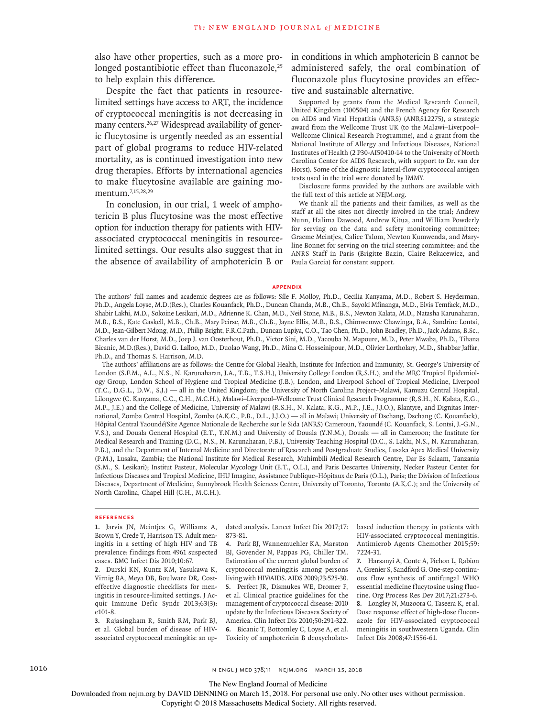also have other properties, such as a more prolonged postantibiotic effect than fluconazole,<sup>25</sup> to help explain this difference.

Despite the fact that patients in resourcelimited settings have access to ART, the incidence of cryptococcal meningitis is not decreasing in many centers.<sup>26,27</sup> Widespread availability of generic flucytosine is urgently needed as an essential part of global programs to reduce HIV-related mortality, as is continued investigation into new drug therapies. Efforts by international agencies to make flucytosine available are gaining momentum.7,15,28,29

In conclusion, in our trial, 1 week of amphotericin B plus flucytosine was the most effective option for induction therapy for patients with HIVassociated cryptococcal meningitis in resourcelimited settings. Our results also suggest that in the absence of availability of amphotericin B or in conditions in which amphotericin B cannot be administered safely, the oral combination of fluconazole plus flucytosine provides an effective and sustainable alternative.

Supported by grants from the Medical Research Council, United Kingdom (100504) and the French Agency for Research on AIDS and Viral Hepatitis (ANRS) (ANRS12275), a strategic award from the Wellcome Trust UK (to the Malawi–Liverpool– Wellcome Clinical Research Programme), and a grant from the National Institute of Allergy and Infectious Diseases, National Institutes of Health (2 P30-AI50410-14 to the University of North Carolina Center for AIDS Research, with support to Dr. van der Horst). Some of the diagnostic lateral-flow cryptococcal antigen tests used in the trial were donated by IMMY.

Disclosure forms provided by the authors are available with the full text of this article at NEJM.org.

We thank all the patients and their families, as well as the staff at all the sites not directly involved in the trial; Andrew Nunn, Halima Dawood, Andrew Kitua, and William Powderly for serving on the data and safety monitoring committee; Graeme Meintjes, Calice Talom, Newton Kumwenda, and Maryline Bonnet for serving on the trial steering committee; and the ANRS Staff in Paris (Brigitte Bazin, Claire Rekacewicz, and Paula Garcia) for constant support.

#### **Appendix**

The authors' full names and academic degrees are as follows: Síle F. Molloy, Ph.D., Cecilia Kanyama, M.D., Robert S. Heyderman, Ph.D., Angela Loyse, M.D.(Res.), Charles Kouanfack, Ph.D., Duncan Chanda, M.B., Ch.B., Sayoki Mfinanga, M.D., Elvis Temfack, M.D., Shabir Lakhi, M.D., Sokoine Lesikari, M.D., Adrienne K. Chan, M.D., Neil Stone, M.B., B.S., Newton Kalata, M.D., Natasha Karunaharan, M.B., B.S., Kate Gaskell, M.B., Ch.B., Mary Peirse, M.B., Ch.B., Jayne Ellis, M.B., B.S., Chimwemwe Chawinga, B.A., Sandrine Lontsi, M.D., Jean-Gilbert Ndong, M.D., Philip Bright, F.R.C.Path., Duncan Lupiya, C.O., Tao Chen, Ph.D., John Bradley, Ph.D., Jack Adams, B.Sc., Charles van der Horst, M.D., Joep J. van Oosterhout, Ph.D., Victor Sini, M.D., Yacouba N. Mapoure, M.D., Peter Mwaba, Ph.D., Tihana Bicanic, M.D.(Res.), David G. Lalloo, M.D., Duolao Wang, Ph.D., Mina C. Hosseinipour, M.D., Olivier Lortholary, M.D., Shabbar Jaffar, Ph.D., and Thomas S. Harrison, M.D.

The authors' affiliations are as follows: the Centre for Global Health, Institute for Infection and Immunity, St. George's University of London (S.F.M., A.L., N.S., N. Karunaharan, J.A., T.B., T.S.H.), University College London (R.S.H.), and the MRC Tropical Epidemiology Group, London School of Hygiene and Tropical Medicine (J.B.), London, and Liverpool School of Tropical Medicine, Liverpool (T.C., D.G.L., D.W., S.J.) — all in the United Kingdom; the University of North Carolina Project–Malawi, Kamuzu Central Hospital, Lilongwe (C. Kanyama, C.C., C.H., M.C.H.), Malawi–Liverpool–Wellcome Trust Clinical Research Programme (R.S.H., N. Kalata, K.G., M.P., J.E.) and the College of Medicine, University of Malawi (R.S.H., N. Kalata, K.G., M.P., J.E., J.J.O.), Blantyre, and Dignitas International, Zomba Central Hospital, Zomba (A.K.C., P.B., D.L., J.J.O.) — all in Malawi; University of Dschang, Dschang (C. Kouanfack), Hôpital Central Yaoundé/Site Agence Nationale de Recherche sur le Sida (ANRS) Cameroun, Yaoundé (C. Kouanfack, S. Lontsi, J.-G.N., V.S.), and Douala General Hospital (E.T., Y.N.M.) and University of Douala (Y.N.M.), Douala — all in Cameroon; the Institute for Medical Research and Training (D.C., N.S., N. Karunaharan, P.B.), University Teaching Hospital (D.C., S. Lakhi, N.S., N. Karunaharan, P.B.), and the Department of Internal Medicine and Directorate of Research and Postgraduate Studies, Lusaka Apex Medical University (P.M.), Lusaka, Zambia; the National Institute for Medical Research, Muhimbili Medical Research Centre, Dar Es Salaam, Tanzania (S.M., S. Lesikari); Institut Pasteur, Molecular Mycology Unit (E.T., O.L.), and Paris Descartes University, Necker Pasteur Center for Infectious Diseases and Tropical Medicine, IHU Imagine, Assistance Publique–Hôpitaux de Paris (O.L.), Paris; the Division of Infectious Diseases, Department of Medicine, Sunnybrook Health Sciences Centre, University of Toronto, Toronto (A.K.C.); and the University of North Carolina, Chapel Hill (C.H., M.C.H.).

#### **References**

**1.** Jarvis JN, Meintjes G, Williams A, Brown Y, Crede T, Harrison TS. Adult meningitis in a setting of high HIV and TB prevalence: findings from 4961 suspected cases. BMC Infect Dis 2010;10:67.

**2.** Durski KN, Kuntz KM, Yasukawa K, Virnig BA, Meya DB, Boulware DR. Costeffective diagnostic checklists for meningitis in resource-limited settings. J Acquir Immune Defic Syndr 2013;63(3): e101-8.

**3.** Rajasingham R, Smith RM, Park BJ, et al. Global burden of disease of HIVassociated cryptococcal meningitis: an updated analysis. Lancet Infect Dis 2017;17: 873-81.

**4.** Park BJ, Wannemuehler KA, Marston BJ, Govender N, Pappas PG, Chiller TM. Estimation of the current global burden of cryptococcal meningitis among persons living with HIV/AIDS. AIDS 2009;23:525-30. **5.** Perfect JR, Dismukes WE, Dromer F, et al. Clinical practice guidelines for the management of cryptococcal disease: 2010 update by the Infectious Diseases Society of America. Clin Infect Dis 2010;50:291-322. **6.** Bicanic T, Bottomley C, Loyse A, et al. Toxicity of amphotericin B deoxycholatebased induction therapy in patients with HIV-associated cryptococcal meningitis. Antimicrob Agents Chemother 2015;59: 7224-31.

**7.** Harsanyi A, Conte A, Pichon L, Rabion A, Grenier S, Sandford G. One-step continuous flow synthesis of antifungal WHO essential medicine flucytosine using fluorine. Org Process Res Dev 2017;21:273-6. **8.** Longley N, Muzoora C, Taseera K, et al. Dose response effect of high-dose fluconazole for HIV-associated cryptococcal meningitis in southwestern Uganda. Clin Infect Dis 2008;47:1556-61.

1016 **n ENGL | MED 378;11 NEM.ORG MARCH 15, 2018** 

The New England Journal of Medicine

Downloaded from nejm.org by DAVID DENNING on March 15, 2018. For personal use only. No other uses without permission.